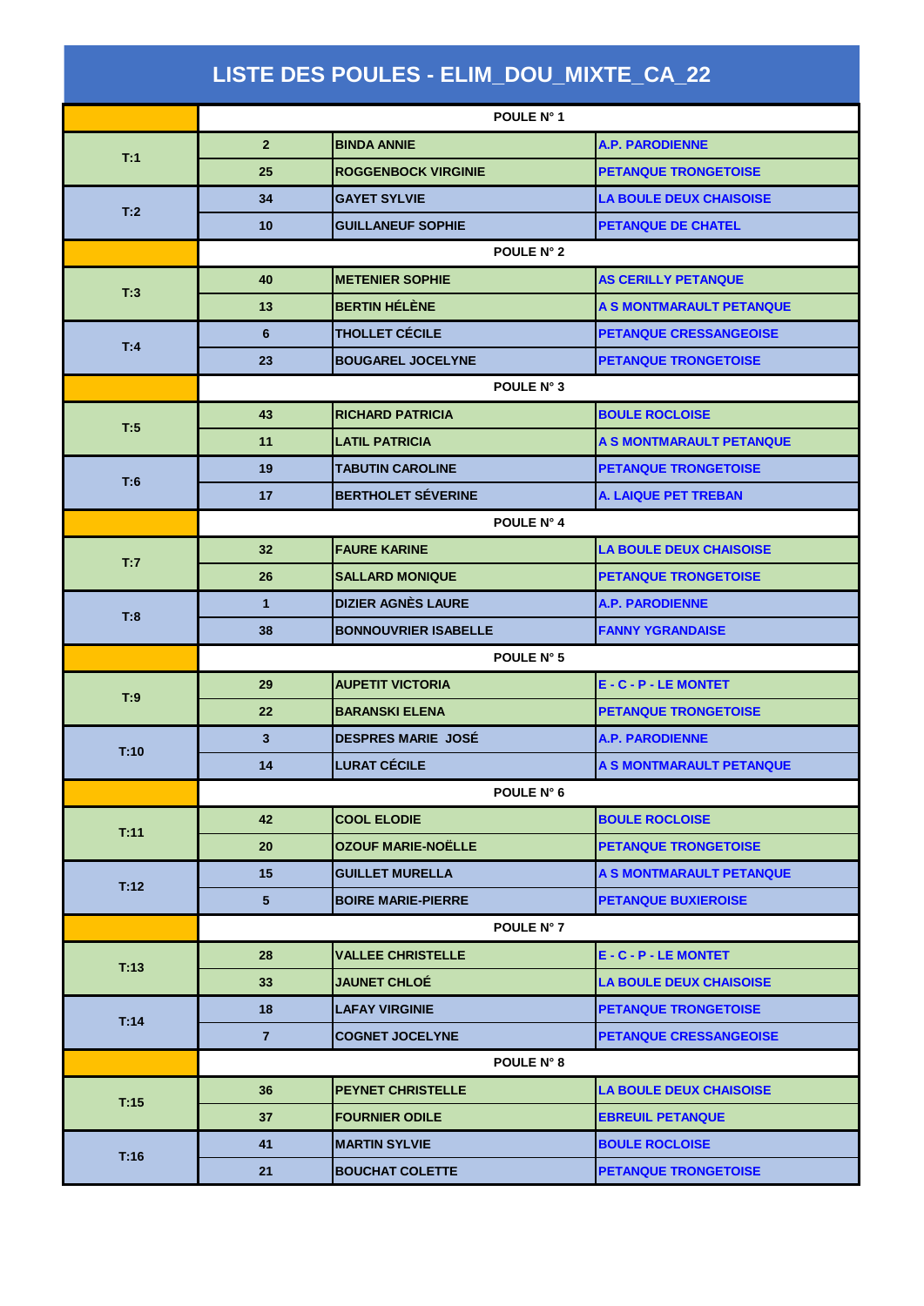| LISTE DES POULES - ELIM_DOU_MIXTE_CA_22 |                |                             |                                |  |
|-----------------------------------------|----------------|-----------------------------|--------------------------------|--|
|                                         | POULE N° 1     |                             |                                |  |
| T:1                                     | $\overline{2}$ | <b>BINDA ANNIE</b>          | <b>A.P. PARODIENNE</b>         |  |
|                                         | 25             | <b>ROGGENBOCK VIRGINIE</b>  | <b>PETANQUE TRONGETOISE</b>    |  |
| T:2                                     | 34             | <b>GAYET SYLVIE</b>         | <b>LA BOULE DEUX CHAISOISE</b> |  |
|                                         | 10             | <b>GUILLANEUF SOPHIE</b>    | <b>PETANQUE DE CHATEL</b>      |  |
|                                         | POULE N° 2     |                             |                                |  |
| T:3                                     | 40             | <b>METENIER SOPHIE</b>      | <b>AS CERILLY PETANQUE</b>     |  |
|                                         | 13             | <b>BERTIN HÉLÈNE</b>        | A S MONTMARAULT PETANQUE       |  |
|                                         | 6              | <b>THOLLET CÉCILE</b>       | <b>PETANQUE CRESSANGEOISE</b>  |  |
| T:4                                     | 23             | <b>BOUGAREL JOCELYNE</b>    | <b>PETANQUE TRONGETOISE</b>    |  |
|                                         | POULE N° 3     |                             |                                |  |
|                                         | 43             | <b>RICHARD PATRICIA</b>     | <b>BOULE ROCLOISE</b>          |  |
| T:5                                     | 11             | <b>LATIL PATRICIA</b>       | A S MONTMARAULT PETANQUE       |  |
| T:6                                     | 19             | <b>TABUTIN CAROLINE</b>     | <b>PETANQUE TRONGETOISE</b>    |  |
|                                         | 17             | <b>BERTHOLET SÉVERINE</b>   | <b>A. LAIQUE PET TREBAN</b>    |  |
|                                         | POULE N° 4     |                             |                                |  |
| T:7                                     | 32             | <b>FAURE KARINE</b>         | <b>LA BOULE DEUX CHAISOISE</b> |  |
|                                         | 26             | <b>SALLARD MONIQUE</b>      | <b>PETANQUE TRONGETOISE</b>    |  |
|                                         | $\mathbf{1}$   | <b>DIZIER AGNÈS LAURE</b>   | <b>A.P. PARODIENNE</b>         |  |
| T:8                                     | 38             | <b>BONNOUVRIER ISABELLE</b> | <b>FANNY YGRANDAISE</b>        |  |
|                                         | POULE N° 5     |                             |                                |  |
| T:9                                     | 29             | <b>AUPETIT VICTORIA</b>     | <b>E - C - P - LE MONTET</b>   |  |
|                                         | 22             | <b>BARANSKI ELENA</b>       | <b>PETANQUE TRONGETOISE</b>    |  |
| T:10                                    | $\mathbf{3}$   | <b>DESPRES MARIE JOSÉ</b>   | <b>A.P. PARODIENNE</b>         |  |
|                                         | 14             | <b>LURAT CÉCILE</b>         | A S MONTMARAULT PETANQUE       |  |
|                                         | POULE N° 6     |                             |                                |  |
| T:11                                    | 42             | <b>COOL ELODIE</b>          | <b>BOULE ROCLOISE</b>          |  |
|                                         | 20             | <b>OZOUF MARIE-NOËLLE</b>   | <b>PETANQUE TRONGETOISE</b>    |  |
| T:12                                    | 15             | <b>GUILLET MURELLA</b>      | A S MONTMARAULT PETANQUE       |  |
|                                         | 5 <sup>5</sup> | <b>BOIRE MARIE-PIERRE</b>   | <b>PETANQUE BUXIEROISE</b>     |  |
|                                         | POULE N° 7     |                             |                                |  |
| T:13                                    | 28             | <b>VALLEE CHRISTELLE</b>    | <b>E - C - P - LE MONTET</b>   |  |
|                                         | 33             | <b>JAUNET CHLOÉ</b>         | <b>LA BOULE DEUX CHAISOISE</b> |  |
| T:14                                    | 18             | <b>LAFAY VIRGINIE</b>       | <b>PETANQUE TRONGETOISE</b>    |  |
|                                         | $\overline{7}$ | <b>COGNET JOCELYNE</b>      | PETANQUE CRESSANGEOISE         |  |
|                                         | POULE N° 8     |                             |                                |  |
| T:15                                    | 36             | <b>PEYNET CHRISTELLE</b>    | <b>LA BOULE DEUX CHAISOISE</b> |  |
|                                         | 37             | <b>FOURNIER ODILE</b>       | <b>EBREUIL PETANQUE</b>        |  |
| T:16                                    | 41             | <b>MARTIN SYLVIE</b>        | <b>BOULE ROCLOISE</b>          |  |
|                                         | 21             | <b>BOUCHAT COLETTE</b>      | <b>PETANQUE TRONGETOISE</b>    |  |